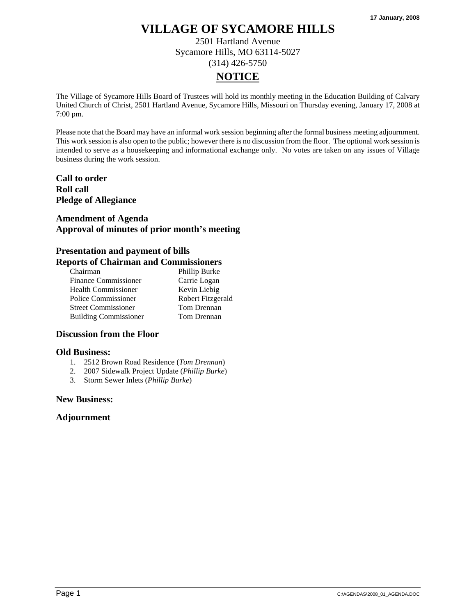2501 Hartland Avenue Sycamore Hills, MO 63114-5027 (314) 426-5750

# **NOTICE**

The Village of Sycamore Hills Board of Trustees will hold its monthly meeting in the Education Building of Calvary United Church of Christ, 2501 Hartland Avenue, Sycamore Hills, Missouri on Thursday evening, January 17, 2008 at 7:00 pm.

Please note that the Board may have an informal work session beginning after the formal business meeting adjournment. This work session is also open to the public; however there is no discussion from the floor. The optional work session is intended to serve as a housekeeping and informational exchange only. No votes are taken on any issues of Village business during the work session.

## **Call to order Roll call Pledge of Allegiance**

## **Amendment of Agenda Approval of minutes of prior month's meeting**

#### **Presentation and payment of bills Reports of Chairman and Commissioners**

| Chairman                     | Phillip Burke     |
|------------------------------|-------------------|
| <b>Finance Commissioner</b>  | Carrie Logan      |
| <b>Health Commissioner</b>   | Kevin Liebig      |
| Police Commissioner          | Robert Fitzgerald |
| <b>Street Commissioner</b>   | Tom Drennan       |
| <b>Building Commissioner</b> | Tom Drennan       |
|                              |                   |

### **Discussion from the Floor**

#### **Old Business:**

- 1. 2512 Brown Road Residence (*Tom Drennan*)
- 2. 2007 Sidewalk Project Update (*Phillip Burke*)
- 3. Storm Sewer Inlets (*Phillip Burke*)

#### **New Business:**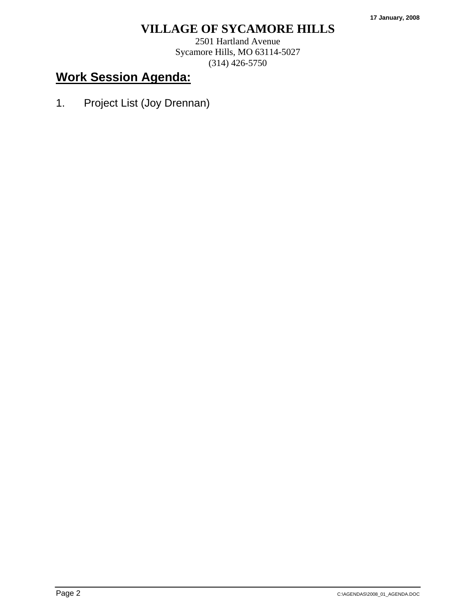2501 Hartland Avenue Sycamore Hills, MO 63114-5027 (314) 426-5750

# **Work Session Agenda:**

1. Project List (Joy Drennan)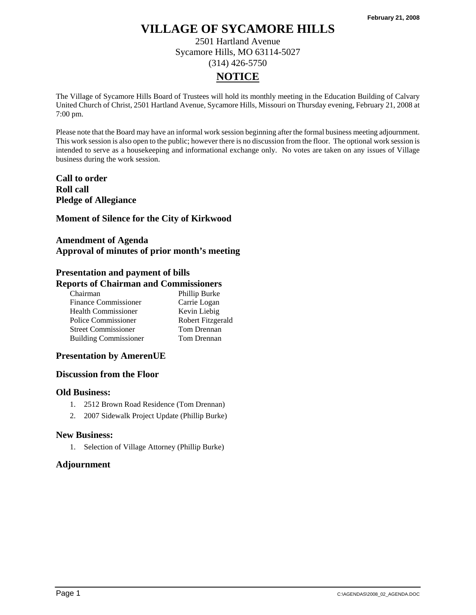2501 Hartland Avenue Sycamore Hills, MO 63114-5027 (314) 426-5750

# **NOTICE**

The Village of Sycamore Hills Board of Trustees will hold its monthly meeting in the Education Building of Calvary United Church of Christ, 2501 Hartland Avenue, Sycamore Hills, Missouri on Thursday evening, February 21, 2008 at 7:00 pm.

Please note that the Board may have an informal work session beginning after the formal business meeting adjournment. This work session is also open to the public; however there is no discussion from the floor. The optional work session is intended to serve as a housekeeping and informational exchange only. No votes are taken on any issues of Village business during the work session.

**Call to order Roll call Pledge of Allegiance** 

### **Moment of Silence for the City of Kirkwood**

# **Amendment of Agenda Approval of minutes of prior month's meeting**

# **Presentation and payment of bills Reports of Chairman and Commissioners**

| Chairman                     | Phillip Burke     |
|------------------------------|-------------------|
| <b>Finance Commissioner</b>  | Carrie Logan      |
| <b>Health Commissioner</b>   | Kevin Liebig      |
| Police Commissioner          | Robert Fitzgerald |
| <b>Street Commissioner</b>   | Tom Drennan       |
| <b>Building Commissioner</b> | Tom Drennan       |

## **Presentation by AmerenUE**

## **Discussion from the Floor**

#### **Old Business:**

- 1. 2512 Brown Road Residence (Tom Drennan)
- 2. 2007 Sidewalk Project Update (Phillip Burke)

#### **New Business:**

1. Selection of Village Attorney (Phillip Burke)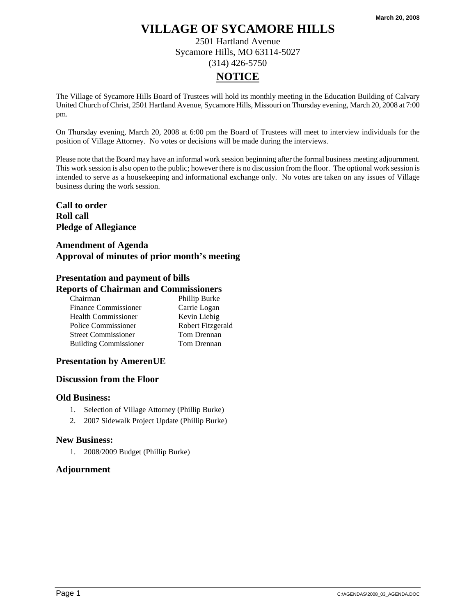2501 Hartland Avenue Sycamore Hills, MO 63114-5027 (314) 426-5750

# **NOTICE**

The Village of Sycamore Hills Board of Trustees will hold its monthly meeting in the Education Building of Calvary United Church of Christ, 2501 Hartland Avenue, Sycamore Hills, Missouri on Thursday evening, March 20, 2008 at 7:00 pm.

On Thursday evening, March 20, 2008 at 6:00 pm the Board of Trustees will meet to interview individuals for the position of Village Attorney. No votes or decisions will be made during the interviews.

Please note that the Board may have an informal work session beginning after the formal business meeting adjournment. This work session is also open to the public; however there is no discussion from the floor. The optional work session is intended to serve as a housekeeping and informational exchange only. No votes are taken on any issues of Village business during the work session.

**Call to order Roll call Pledge of Allegiance** 

### **Amendment of Agenda Approval of minutes of prior month's meeting**

### **Presentation and payment of bills Reports of Chairman and Commissioners**

| Chairman                     | Phillip Burke     |
|------------------------------|-------------------|
| <b>Finance Commissioner</b>  | Carrie Logan      |
| <b>Health Commissioner</b>   | Kevin Liebig      |
| Police Commissioner          | Robert Fitzgerald |
| <b>Street Commissioner</b>   | Tom Drennan       |
| <b>Building Commissioner</b> | Tom Drennan       |

## **Presentation by AmerenUE**

#### **Discussion from the Floor**

#### **Old Business:**

- 1. Selection of Village Attorney (Phillip Burke)
- 2. 2007 Sidewalk Project Update (Phillip Burke)

#### **New Business:**

1. 2008/2009 Budget (Phillip Burke)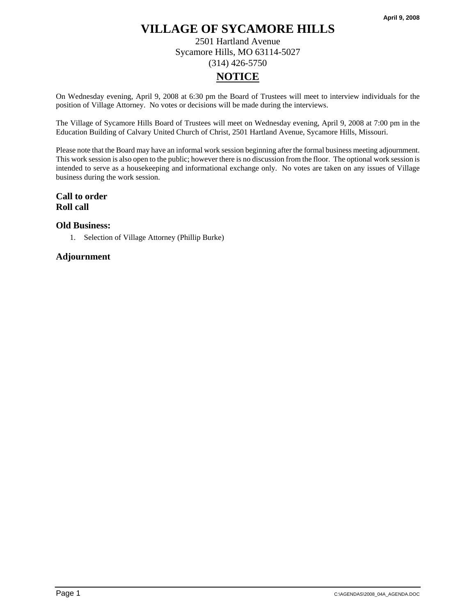2501 Hartland Avenue Sycamore Hills, MO 63114-5027 (314) 426-5750

# **NOTICE**

On Wednesday evening, April 9, 2008 at 6:30 pm the Board of Trustees will meet to interview individuals for the position of Village Attorney. No votes or decisions will be made during the interviews.

The Village of Sycamore Hills Board of Trustees will meet on Wednesday evening, April 9, 2008 at 7:00 pm in the Education Building of Calvary United Church of Christ, 2501 Hartland Avenue, Sycamore Hills, Missouri.

Please note that the Board may have an informal work session beginning after the formal business meeting adjournment. This work session is also open to the public; however there is no discussion from the floor. The optional work session is intended to serve as a housekeeping and informational exchange only. No votes are taken on any issues of Village business during the work session.

# **Call to order Roll call**

### **Old Business:**

1. Selection of Village Attorney (Phillip Burke)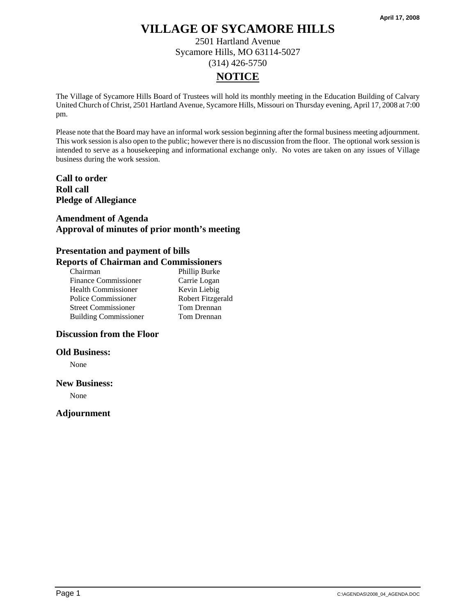2501 Hartland Avenue Sycamore Hills, MO 63114-5027 (314) 426-5750

# **NOTICE**

The Village of Sycamore Hills Board of Trustees will hold its monthly meeting in the Education Building of Calvary United Church of Christ, 2501 Hartland Avenue, Sycamore Hills, Missouri on Thursday evening, April 17, 2008 at 7:00 pm.

Please note that the Board may have an informal work session beginning after the formal business meeting adjournment. This work session is also open to the public; however there is no discussion from the floor. The optional work session is intended to serve as a housekeeping and informational exchange only. No votes are taken on any issues of Village business during the work session.

## **Call to order Roll call Pledge of Allegiance**

## **Amendment of Agenda Approval of minutes of prior month's meeting**

#### **Presentation and payment of bills Reports of Chairman and Commissioners**

| Chairman                     | Phillip Burke     |
|------------------------------|-------------------|
| <b>Finance Commissioner</b>  | Carrie Logan      |
| <b>Health Commissioner</b>   | Kevin Liebig      |
| Police Commissioner          | Robert Fitzgerald |
| <b>Street Commissioner</b>   | Tom Drennan       |
| <b>Building Commissioner</b> | Tom Drennan       |

# **Discussion from the Floor**

#### **Old Business:**

None

#### **New Business:**

None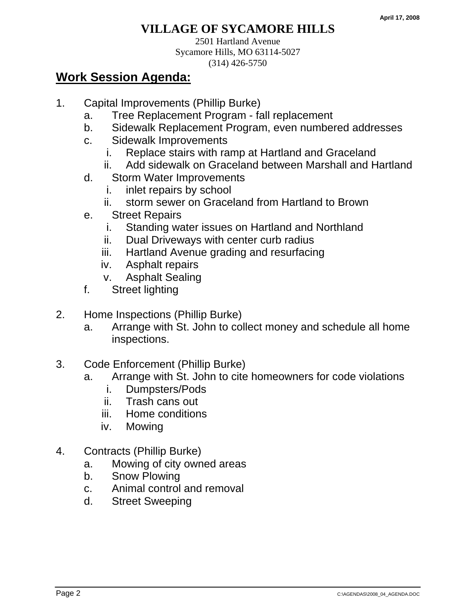2501 Hartland Avenue Sycamore Hills, MO 63114-5027 (314) 426-5750

- 1. Capital Improvements (Phillip Burke)
	- a. Tree Replacement Program fall replacement
	- b. Sidewalk Replacement Program, even numbered addresses
	- c. Sidewalk Improvements
		- i. Replace stairs with ramp at Hartland and Graceland
		- ii. Add sidewalk on Graceland between Marshall and Hartland
	- d. Storm Water Improvements
		- i. inlet repairs by school
		- ii. storm sewer on Graceland from Hartland to Brown
	- e. Street Repairs
		- i. Standing water issues on Hartland and Northland
		- ii. Dual Driveways with center curb radius
		- iii. Hartland Avenue grading and resurfacing
		- iv. Asphalt repairs
		- v. Asphalt Sealing
	- f. Street lighting
- 2. Home Inspections (Phillip Burke)
	- a. Arrange with St. John to collect money and schedule all home inspections.
- 3. Code Enforcement (Phillip Burke)
	- a. Arrange with St. John to cite homeowners for code violations
		- i. Dumpsters/Pods
		- ii. Trash cans out
		- iii. Home conditions
		- iv. Mowing
- 4. Contracts (Phillip Burke)
	- a. Mowing of city owned areas
	- b. Snow Plowing
	- c. Animal control and removal
	- d. Street Sweeping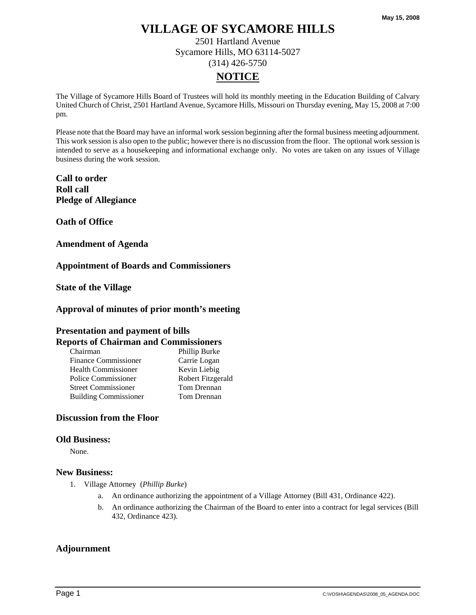2501 Hartland Avenue Sycamore Hills, MO 63114-5027 (314) 426-5750

# **NOTICE**

The Village of Sycamore Hills Board of Trustees will hold its monthly meeting in the Education Building of Calvary United Church of Christ, 2501 Hartland Avenue, Sycamore Hills, Missouri on Thursday evening, May 15, 2008 at 7:00 pm.

Please note that the Board may have an informal work session beginning after the formal business meeting adjournment. This work session is also open to the public; however there is no discussion from the floor. The optional work session is intended to serve as a housekeeping and informational exchange only. No votes are taken on any issues of Village business during the work session.

**Call to order Roll call Pledge of Allegiance** 

**Oath of Office** 

**Amendment of Agenda** 

**Appointment of Boards and Commissioners** 

**State of the Village** 

#### **Approval of minutes of prior month's meeting**

## **Presentation and payment of bills Reports of Chairman and Commissioners**

| Chairman                     | Phillip Burke     |
|------------------------------|-------------------|
| <b>Finance Commissioner</b>  | Carrie Logan      |
| <b>Health Commissioner</b>   | Kevin Liebig      |
| Police Commissioner          | Robert Fitzgerald |
| <b>Street Commissioner</b>   | Tom Drennan       |
| <b>Building Commissioner</b> | Tom Drennan       |

#### **Discussion from the Floor**

#### **Old Business:**

None.

#### **New Business:**

- 1. Village Attorney (*Phillip Burke*)
	- a. An ordinance authorizing the appointment of a Village Attorney (Bill 431, Ordinance 422).
	- b. An ordinance authorizing the Chairman of the Board to enter into a contract for legal services (Bill 432, Ordinance 423).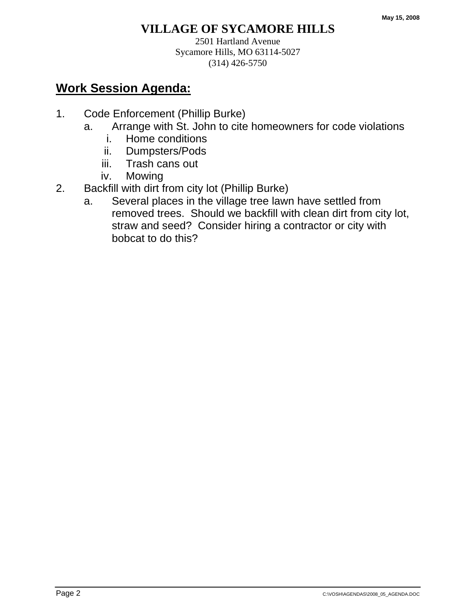2501 Hartland Avenue Sycamore Hills, MO 63114-5027 (314) 426-5750

- 1. Code Enforcement (Phillip Burke)
	- a. Arrange with St. John to cite homeowners for code violations
		- i. Home conditions
		- ii. Dumpsters/Pods
		- iii. Trash cans out
		- iv. Mowing
- 2. Backfill with dirt from city lot (Phillip Burke)
	- a. Several places in the village tree lawn have settled from removed trees. Should we backfill with clean dirt from city lot, straw and seed? Consider hiring a contractor or city with bobcat to do this?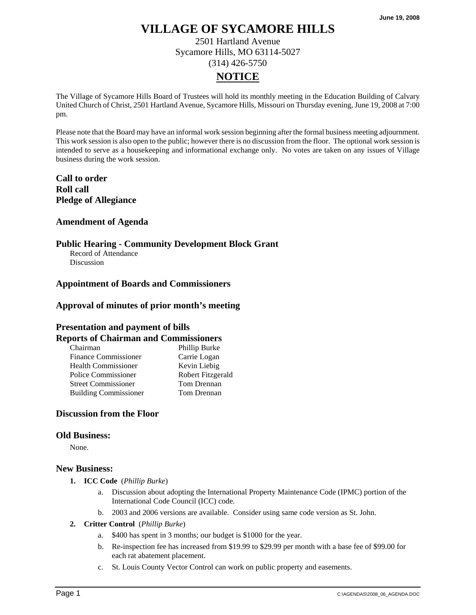2501 Hartland Avenue Sycamore Hills, MO 63114-5027 (314) 426-5750

# **NOTICE**

The Village of Sycamore Hills Board of Trustees will hold its monthly meeting in the Education Building of Calvary United Church of Christ, 2501 Hartland Avenue, Sycamore Hills, Missouri on Thursday evening, June 19, 2008 at 7:00 pm.

Please note that the Board may have an informal work session beginning after the formal business meeting adjournment. This work session is also open to the public; however there is no discussion from the floor. The optional work session is intended to serve as a housekeeping and informational exchange only. No votes are taken on any issues of Village business during the work session.

**Call to order Roll call Pledge of Allegiance** 

#### **Amendment of Agenda**

#### **Public Hearing - Community Development Block Grant**

Record of Attendance **Discussion** 

#### **Appointment of Boards and Commissioners**

#### **Approval of minutes of prior month's meeting**

# **Presentation and payment of bills**

#### **Reports of Chairman and Commissioners**

| Chairman                     | Phillip Burke     |
|------------------------------|-------------------|
| <b>Finance Commissioner</b>  | Carrie Logan      |
| <b>Health Commissioner</b>   | Kevin Liebig      |
| Police Commissioner          | Robert Fitzgerald |
| <b>Street Commissioner</b>   | Tom Drennan       |
| <b>Building Commissioner</b> | Tom Drennan       |

#### **Discussion from the Floor**

#### **Old Business:**

None.

#### **New Business:**

- **1. ICC Code** (*Phillip Burke*)
	- a. Discussion about adopting the International Property Maintenance Code (IPMC) portion of the International Code Council (ICC) code.
	- b. 2003 and 2006 versions are available. Consider using same code version as St. John.
- **2. Critter Control** (*Phillip Burke*)
	- a. \$400 has spent in 3 months; our budget is \$1000 for the year.
	- b. Re-inspection fee has increased from \$19.99 to \$29.99 per month with a base fee of \$99.00 for each rat abatement placement.
	- c. St. Louis County Vector Control can work on public property and easements.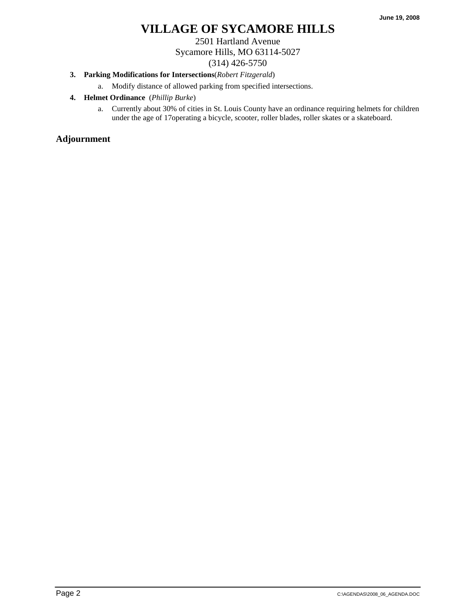2501 Hartland Avenue Sycamore Hills, MO 63114-5027 (314) 426-5750

### **3. Parking Modifications for Intersections**(*Robert Fitzgerald*)

a. Modify distance of allowed parking from specified intersections.

- **4. Helmet Ordinance** (*Phillip Burke*)
	- a. Currently about 30% of cities in St. Louis County have an ordinance requiring helmets for children under the age of 17operating a bicycle, scooter, roller blades, roller skates or a skateboard.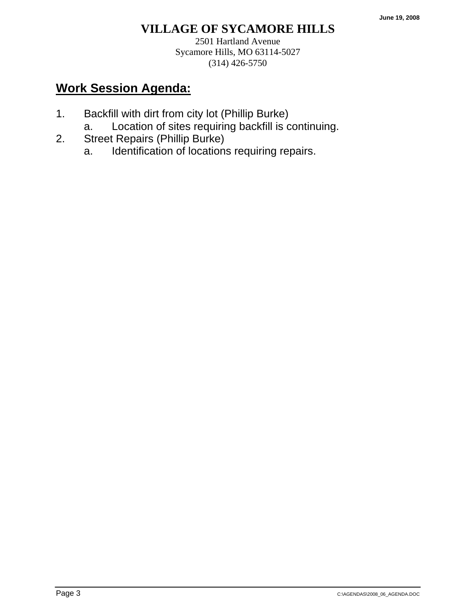2501 Hartland Avenue Sycamore Hills, MO 63114-5027 (314) 426-5750

- 1. Backfill with dirt from city lot (Phillip Burke)
	- a. Location of sites requiring backfill is continuing.
- 2. Street Repairs (Phillip Burke)
	- a. Identification of locations requiring repairs.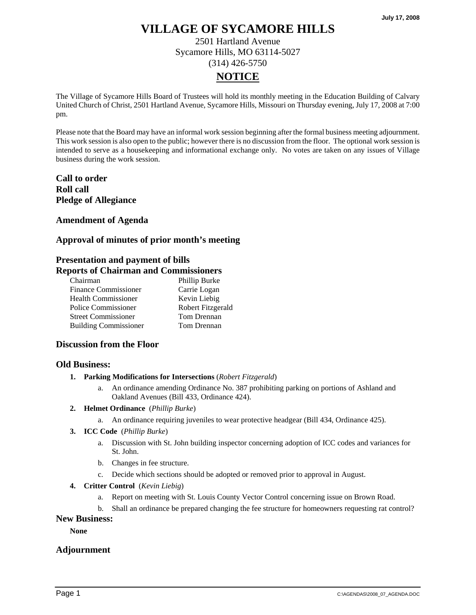2501 Hartland Avenue Sycamore Hills, MO 63114-5027 (314) 426-5750

# **NOTICE**

The Village of Sycamore Hills Board of Trustees will hold its monthly meeting in the Education Building of Calvary United Church of Christ, 2501 Hartland Avenue, Sycamore Hills, Missouri on Thursday evening, July 17, 2008 at 7:00 pm.

Please note that the Board may have an informal work session beginning after the formal business meeting adjournment. This work session is also open to the public; however there is no discussion from the floor. The optional work session is intended to serve as a housekeeping and informational exchange only. No votes are taken on any issues of Village business during the work session.

# **Call to order Roll call Pledge of Allegiance**

### **Amendment of Agenda**

## **Approval of minutes of prior month's meeting**

# **Presentation and payment of bills**

### **Reports of Chairman and Commissioners**

| Chairman                     | Phillip Burke     |
|------------------------------|-------------------|
| <b>Finance Commissioner</b>  | Carrie Logan      |
| <b>Health Commissioner</b>   | Kevin Liebig      |
| Police Commissioner          | Robert Fitzgerald |
| <b>Street Commissioner</b>   | Tom Drennan       |
| <b>Building Commissioner</b> | Tom Drennan       |

#### **Discussion from the Floor**

#### **Old Business:**

- **1. Parking Modifications for Intersections** (*Robert Fitzgerald*)
	- a. An ordinance amending Ordinance No. 387 prohibiting parking on portions of Ashland and Oakland Avenues (Bill 433, Ordinance 424).
- **2. Helmet Ordinance** (*Phillip Burke*)
	- a. An ordinance requiring juveniles to wear protective headgear (Bill 434, Ordinance 425).
- **3. ICC Code** (*Phillip Burke*)
	- a. Discussion with St. John building inspector concerning adoption of ICC codes and variances for St. John.
	- b. Changes in fee structure.
	- c. Decide which sections should be adopted or removed prior to approval in August.
- **4. Critter Control** (*Kevin Liebig*)
	- a. Report on meeting with St. Louis County Vector Control concerning issue on Brown Road.
	- b. Shall an ordinance be prepared changing the fee structure for homeowners requesting rat control?

#### **New Business:**

**None**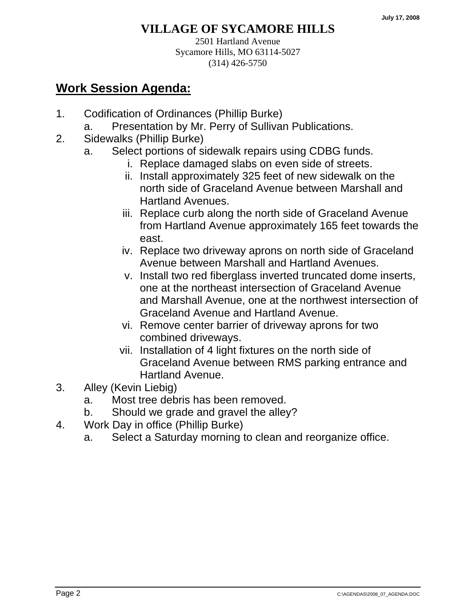2501 Hartland Avenue Sycamore Hills, MO 63114-5027 (314) 426-5750

- 1. Codification of Ordinances (Phillip Burke)
	- a. Presentation by Mr. Perry of Sullivan Publications.
- 2. Sidewalks (Phillip Burke)
	- a. Select portions of sidewalk repairs using CDBG funds.
		- i. Replace damaged slabs on even side of streets.
		- ii. Install approximately 325 feet of new sidewalk on the north side of Graceland Avenue between Marshall and Hartland Avenues.
		- iii. Replace curb along the north side of Graceland Avenue from Hartland Avenue approximately 165 feet towards the east.
		- iv. Replace two driveway aprons on north side of Graceland Avenue between Marshall and Hartland Avenues.
		- v. Install two red fiberglass inverted truncated dome inserts, one at the northeast intersection of Graceland Avenue and Marshall Avenue, one at the northwest intersection of Graceland Avenue and Hartland Avenue.
		- vi. Remove center barrier of driveway aprons for two combined driveways.
		- vii. Installation of 4 light fixtures on the north side of Graceland Avenue between RMS parking entrance and Hartland Avenue.
- 3. Alley (Kevin Liebig)
	- a. Most tree debris has been removed.
	- b. Should we grade and gravel the alley?
- 4. Work Day in office (Phillip Burke)
	- a. Select a Saturday morning to clean and reorganize office.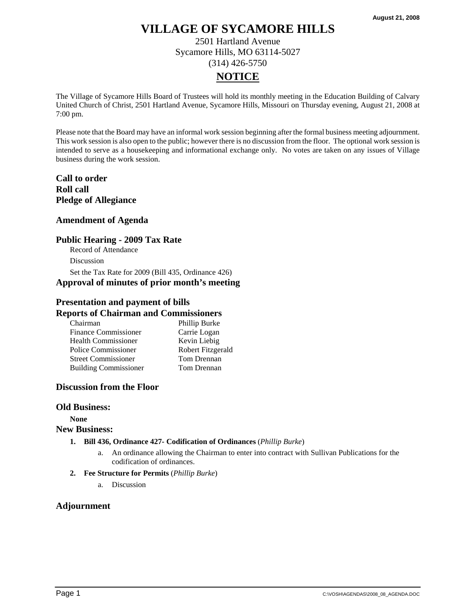2501 Hartland Avenue Sycamore Hills, MO 63114-5027 (314) 426-5750

# **NOTICE**

The Village of Sycamore Hills Board of Trustees will hold its monthly meeting in the Education Building of Calvary United Church of Christ, 2501 Hartland Avenue, Sycamore Hills, Missouri on Thursday evening, August 21, 2008 at 7:00 pm.

Please note that the Board may have an informal work session beginning after the formal business meeting adjournment. This work session is also open to the public; however there is no discussion from the floor. The optional work session is intended to serve as a housekeeping and informational exchange only. No votes are taken on any issues of Village business during the work session.

## **Call to order Roll call Pledge of Allegiance**

### **Amendment of Agenda**

### **Public Hearing - 2009 Tax Rate**

Record of Attendance

Discussion

Set the Tax Rate for 2009 (Bill 435, Ordinance 426) **Approval of minutes of prior month's meeting** 

### **Presentation and payment of bills**

#### **Reports of Chairman and Commissioners**

| Chairman                     | Phillip Burke     |
|------------------------------|-------------------|
| <b>Finance Commissioner</b>  | Carrie Logan      |
| <b>Health Commissioner</b>   | Kevin Liebig      |
| Police Commissioner          | Robert Fitzgerald |
| <b>Street Commissioner</b>   | Tom Drennan       |
| <b>Building Commissioner</b> | Tom Drennan       |

#### **Discussion from the Floor**

#### **Old Business:**

**None New Business:** 

- **1. Bill 436, Ordinance 427- Codification of Ordinances** (*Phillip Burke*)
	- a. An ordinance allowing the Chairman to enter into contract with Sullivan Publications for the codification of ordinances.

#### **2. Fee Structure for Permits** (*Phillip Burke*)

a. Discussion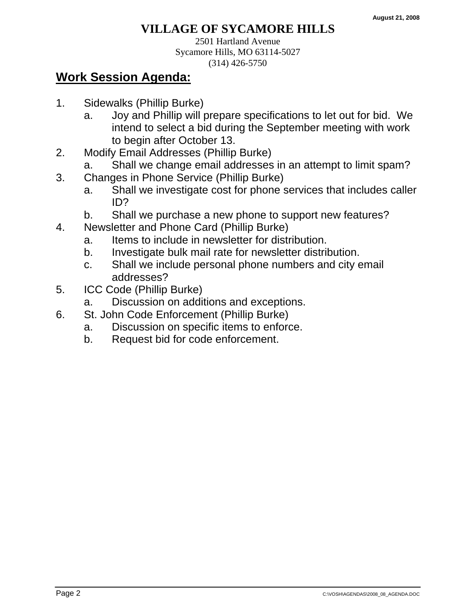2501 Hartland Avenue Sycamore Hills, MO 63114-5027 (314) 426-5750

- 1. Sidewalks (Phillip Burke)
	- a. Joy and Phillip will prepare specifications to let out for bid. We intend to select a bid during the September meeting with work to begin after October 13.
- 2. Modify Email Addresses (Phillip Burke)
	- a. Shall we change email addresses in an attempt to limit spam?
- 3. Changes in Phone Service (Phillip Burke)
	- a. Shall we investigate cost for phone services that includes caller ID?
	- b. Shall we purchase a new phone to support new features?
- 4. Newsletter and Phone Card (Phillip Burke)
	- a. Items to include in newsletter for distribution.
	- b. Investigate bulk mail rate for newsletter distribution.
	- c. Shall we include personal phone numbers and city email addresses?
- 5. ICC Code (Phillip Burke)
	- a. Discussion on additions and exceptions.
- 6. St. John Code Enforcement (Phillip Burke)
	- a. Discussion on specific items to enforce.
	- b. Request bid for code enforcement.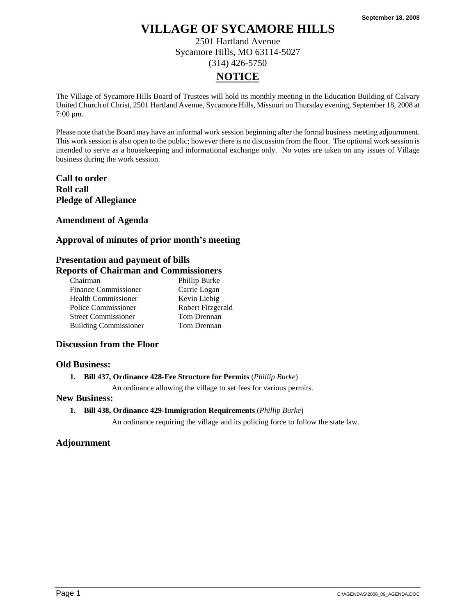2501 Hartland Avenue Sycamore Hills, MO 63114-5027 (314) 426-5750

# **NOTICE**

The Village of Sycamore Hills Board of Trustees will hold its monthly meeting in the Education Building of Calvary United Church of Christ, 2501 Hartland Avenue, Sycamore Hills, Missouri on Thursday evening, September 18, 2008 at 7:00 pm.

Please note that the Board may have an informal work session beginning after the formal business meeting adjournment. This work session is also open to the public; however there is no discussion from the floor. The optional work session is intended to serve as a housekeeping and informational exchange only. No votes are taken on any issues of Village business during the work session.

# **Call to order Roll call Pledge of Allegiance**

### **Amendment of Agenda**

## **Approval of minutes of prior month's meeting**

# **Presentation and payment of bills**

## **Reports of Chairman and Commissioners**

| Chairman                     | Phillip Burke     |
|------------------------------|-------------------|
| <b>Finance Commissioner</b>  | Carrie Logan      |
| <b>Health Commissioner</b>   | Kevin Liebig      |
| Police Commissioner          | Robert Fitzgerald |
| <b>Street Commissioner</b>   | Tom Drennan       |
| <b>Building Commissioner</b> | Tom Drennan       |

#### **Discussion from the Floor**

#### **Old Business:**

#### **1. Bill 437, Ordinance 428-Fee Structure for Permits** (*Phillip Burke*)

An ordinance allowing the village to set fees for various permits.

#### **New Business:**

**1. Bill 438, Ordinance 429-Immigration Requirements** (*Phillip Burke*)

An ordinance requiring the village and its policing force to follow the state law.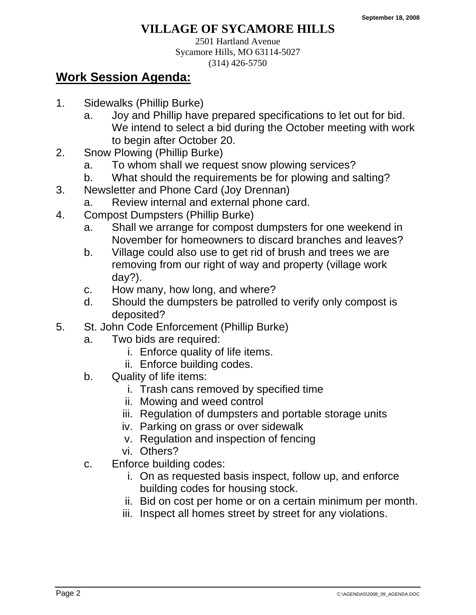2501 Hartland Avenue Sycamore Hills, MO 63114-5027 (314) 426-5750

- 1. Sidewalks (Phillip Burke)
	- a. Joy and Phillip have prepared specifications to let out for bid. We intend to select a bid during the October meeting with work to begin after October 20.
- 2. Snow Plowing (Phillip Burke)
	- a. To whom shall we request snow plowing services?
	- b. What should the requirements be for plowing and salting?
- 3. Newsletter and Phone Card (Joy Drennan)
- a. Review internal and external phone card.
- 4. Compost Dumpsters (Phillip Burke)
	- a. Shall we arrange for compost dumpsters for one weekend in November for homeowners to discard branches and leaves?
	- b. Village could also use to get rid of brush and trees we are removing from our right of way and property (village work day?).
	- c. How many, how long, and where?
	- d. Should the dumpsters be patrolled to verify only compost is deposited?
- 5. St. John Code Enforcement (Phillip Burke)
	- a. Two bids are required:
		- i. Enforce quality of life items.
		- ii. Enforce building codes.
	- b. Quality of life items:
		- i. Trash cans removed by specified time
		- ii. Mowing and weed control
		- iii. Regulation of dumpsters and portable storage units
		- iv. Parking on grass or over sidewalk
		- v. Regulation and inspection of fencing
		- vi. Others?
	- c. Enforce building codes:
		- i. On as requested basis inspect, follow up, and enforce building codes for housing stock.
		- ii. Bid on cost per home or on a certain minimum per month.
		- iii. Inspect all homes street by street for any violations.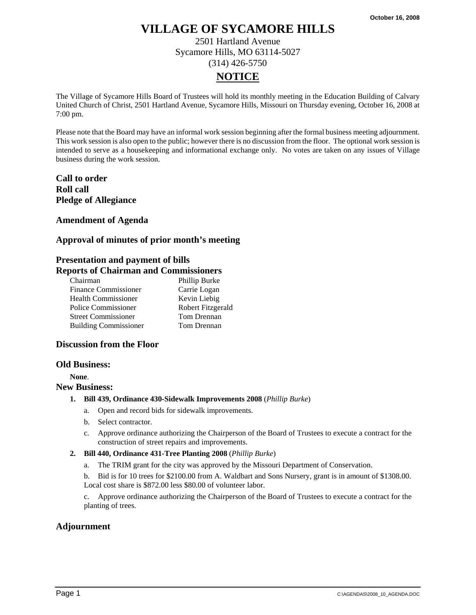2501 Hartland Avenue Sycamore Hills, MO 63114-5027 (314) 426-5750

# **NOTICE**

The Village of Sycamore Hills Board of Trustees will hold its monthly meeting in the Education Building of Calvary United Church of Christ, 2501 Hartland Avenue, Sycamore Hills, Missouri on Thursday evening, October 16, 2008 at 7:00 pm.

Please note that the Board may have an informal work session beginning after the formal business meeting adjournment. This work session is also open to the public; however there is no discussion from the floor. The optional work session is intended to serve as a housekeeping and informational exchange only. No votes are taken on any issues of Village business during the work session.

**Call to order Roll call Pledge of Allegiance** 

**Amendment of Agenda** 

#### **Approval of minutes of prior month's meeting**

## **Presentation and payment of bills**

#### **Reports of Chairman and Commissioners**

| Chairman                     | Phillip Burke     |
|------------------------------|-------------------|
| <b>Finance Commissioner</b>  | Carrie Logan      |
| <b>Health Commissioner</b>   | Kevin Liebig      |
| Police Commissioner          | Robert Fitzgerald |
| <b>Street Commissioner</b>   | Tom Drennan       |
| <b>Building Commissioner</b> | Tom Drennan       |

#### **Discussion from the Floor**

#### **Old Business:**

**None**.

#### **New Business:**

- **1. Bill 439, Ordinance 430-Sidewalk Improvements 2008** (*Phillip Burke*)
	- a. Open and record bids for sidewalk improvements.
	- b. Select contractor.
	- c. Approve ordinance authorizing the Chairperson of the Board of Trustees to execute a contract for the construction of street repairs and improvements.
- **2. Bill 440, Ordinance 431-Tree Planting 2008** (*Phillip Burke*)
	- a. The TRIM grant for the city was approved by the Missouri Department of Conservation.
	- b. Bid is for 10 trees for \$2100.00 from A. Waldbart and Sons Nursery, grant is in amount of \$1308.00. Local cost share is \$872.00 less \$80.00 of volunteer labor.
	- c. Approve ordinance authorizing the Chairperson of the Board of Trustees to execute a contract for the planting of trees.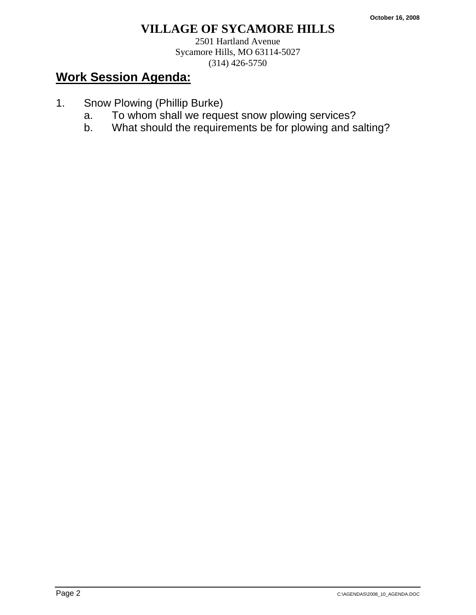2501 Hartland Avenue Sycamore Hills, MO 63114-5027 (314) 426-5750

- 1. Snow Plowing (Phillip Burke)
	- a. To whom shall we request snow plowing services?
	- b. What should the requirements be for plowing and salting?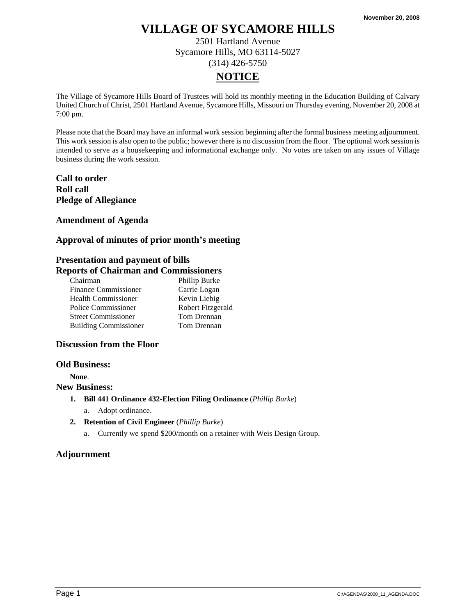2501 Hartland Avenue Sycamore Hills, MO 63114-5027 (314) 426-5750

# **NOTICE**

The Village of Sycamore Hills Board of Trustees will hold its monthly meeting in the Education Building of Calvary United Church of Christ, 2501 Hartland Avenue, Sycamore Hills, Missouri on Thursday evening, November 20, 2008 at 7:00 pm.

Please note that the Board may have an informal work session beginning after the formal business meeting adjournment. This work session is also open to the public; however there is no discussion from the floor. The optional work session is intended to serve as a housekeeping and informational exchange only. No votes are taken on any issues of Village business during the work session.

# **Call to order Roll call Pledge of Allegiance**

## **Amendment of Agenda**

## **Approval of minutes of prior month's meeting**

# **Presentation and payment of bills**

## **Reports of Chairman and Commissioners**

| Chairman                     | Phillip Burke     |
|------------------------------|-------------------|
| <b>Finance Commissioner</b>  | Carrie Logan      |
| <b>Health Commissioner</b>   | Kevin Liebig      |
| Police Commissioner          | Robert Fitzgerald |
| <b>Street Commissioner</b>   | Tom Drennan       |
| <b>Building Commissioner</b> | Tom Drennan       |

#### **Discussion from the Floor**

#### **Old Business:**

**None**.

#### **New Business:**

- **1. Bill 441 Ordinance 432-Election Filing Ordinance** (*Phillip Burke*)
	- a. Adopt ordinance.
- **2. Retention of Civil Engineer** (*Phillip Burke*)
	- a. Currently we spend \$200/month on a retainer with Weis Design Group.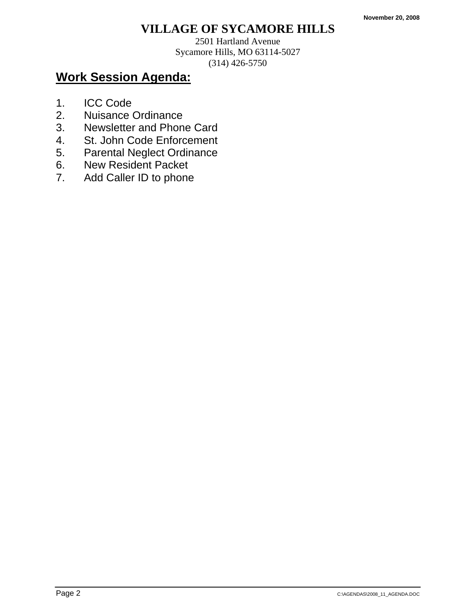2501 Hartland Avenue Sycamore Hills, MO 63114-5027 (314) 426-5750

- 1. ICC Code
- 2. Nuisance Ordinance
- 3. Newsletter and Phone Card
- 4. St. John Code Enforcement
- 5. Parental Neglect Ordinance
- 6. New Resident Packet
- 7. Add Caller ID to phone